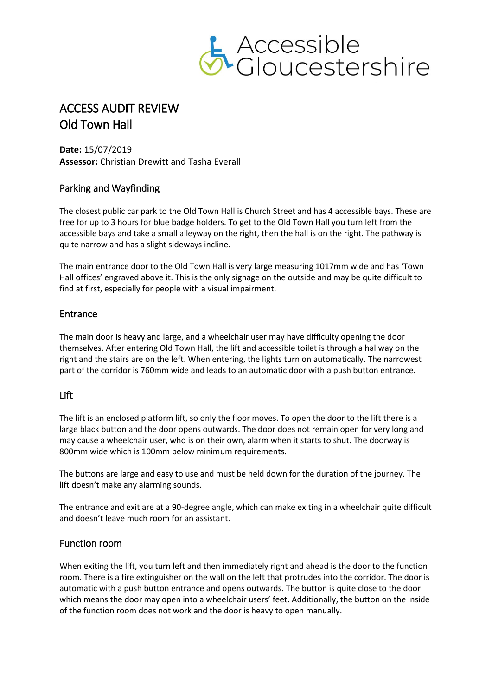

# ACCESS AUDIT REVIEW Old Town Hall

**Date:** 15/07/2019 **Assessor:** Christian Drewitt and Tasha Everall

## Parking and Wayfinding

The closest public car park to the Old Town Hall is Church Street and has 4 accessible bays. These are free for up to 3 hours for blue badge holders. To get to the Old Town Hall you turn left from the accessible bays and take a small alleyway on the right, then the hall is on the right. The pathway is quite narrow and has a slight sideways incline.

The main entrance door to the Old Town Hall is very large measuring 1017mm wide and has 'Town Hall offices' engraved above it. This is the only signage on the outside and may be quite difficult to find at first, especially for people with a visual impairment.

### Entrance

The main door is heavy and large, and a wheelchair user may have difficulty opening the door themselves. After entering Old Town Hall, the lift and accessible toilet is through a hallway on the right and the stairs are on the left. When entering, the lights turn on automatically. The narrowest part of the corridor is 760mm wide and leads to an automatic door with a push button entrance.

### Lift

The lift is an enclosed platform lift, so only the floor moves. To open the door to the lift there is a large black button and the door opens outwards. The door does not remain open for very long and may cause a wheelchair user, who is on their own, alarm when it starts to shut. The doorway is 800mm wide which is 100mm below minimum requirements.

The buttons are large and easy to use and must be held down for the duration of the journey. The lift doesn't make any alarming sounds.

The entrance and exit are at a 90-degree angle, which can make exiting in a wheelchair quite difficult and doesn't leave much room for an assistant.

### Function room

When exiting the lift, you turn left and then immediately right and ahead is the door to the function room. There is a fire extinguisher on the wall on the left that protrudes into the corridor. The door is automatic with a push button entrance and opens outwards. The button is quite close to the door which means the door may open into a wheelchair users' feet. Additionally, the button on the inside of the function room does not work and the door is heavy to open manually.